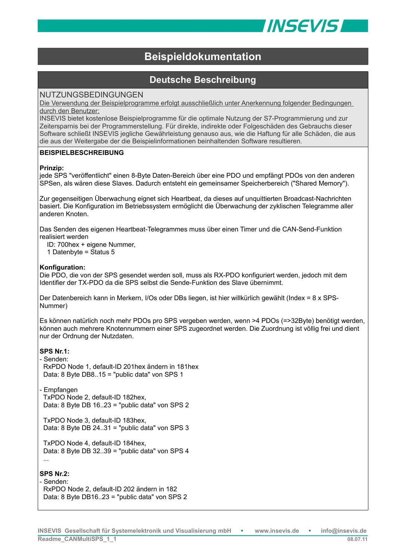

# **Beispieldokumentation**

# **Deutsche Beschreibung**

# NUTZUNGSBEDINGUNGEN

Die Verwendung der Beispielprogramme erfolgt ausschließlich unter Anerkennung folgender Bedingungen durch den Benutzer:

INSEVIS bietet kostenlose Beispielprogramme für die optimale Nutzung der S7-Programmierung und zur Zeitersparnis bei der Programmerstellung. Für direkte, indirekte oder Folgeschäden des Gebrauchs dieser Software schließt INSEVIS jegliche Gewährleistung genauso aus, wie die Haftung für alle Schäden, die aus die aus der Weitergabe der die Beispielinformationen beinhaltenden Software resultieren.

## **BEISPIELBESCHREIBUNG**

### **Prinzip:**

jede SPS "veröffentlicht" einen 8-Byte Daten-Bereich über eine PDO und empfängt PDOs von den anderen SPSen, als wären diese Slaves. Dadurch entsteht ein gemeinsamer Speicherbereich ("Shared Memory").

Zur gegenseitigen Überwachung eignet sich Heartbeat, da dieses auf unquittierten Broadcast-Nachrichten basiert. Die Konfiguration im Betriebssystem ermöglicht die Überwachung der zyklischen Telegramme aller anderen Knoten.

Das Senden des eigenen Heartbeat-Telegrammes muss über einen Timer und die CAN-Send-Funktion realisiert werden

ID: 700hex + eigene Nummer,

1 Datenbyte = Status 5

## **Konfiguration:**

Die PDO, die von der SPS gesendet werden soll, muss als RX-PDO konfiguriert werden, jedoch mit dem Identifier der TX-PDO da die SPS selbst die Sende-Funktion des Slave übernimmt.

Der Datenbereich kann in Merkern, I/Os oder DBs liegen, ist hier willkürlich gewählt (Index = 8 x SPS-Nummer)

Es können natürlich noch mehr PDOs pro SPS vergeben werden, wenn >4 PDOs (=>32Byte) benötigt werden, können auch mehrere Knotennummern einer SPS zugeordnet werden. Die Zuordnung ist völlig frei und dient nur der Ordnung der Nutzdaten.

### **SPS Nr.1:**

- Senden: RxPDO Node 1, default-ID 201hex ändern in 181hex Data: 8 Byte DB8..15 = "public data" von SPS 1

- Empfangen TxPDO Node 2, default-ID 182hex, Data: 8 Byte DB 16..23 = "public data" von SPS 2

 TxPDO Node 3, default-ID 183hex, Data: 8 Byte DB 24..31 = "public data" von SPS 3

 TxPDO Node 4, default-ID 184hex, Data: 8 Byte DB 32..39 = "public data" von SPS 4 ...

### **SPS Nr.2:**

- Senden: RxPDO Node 2, default-ID 202 ändern in 182 Data: 8 Byte DB16..23 = "public data" von SPS 2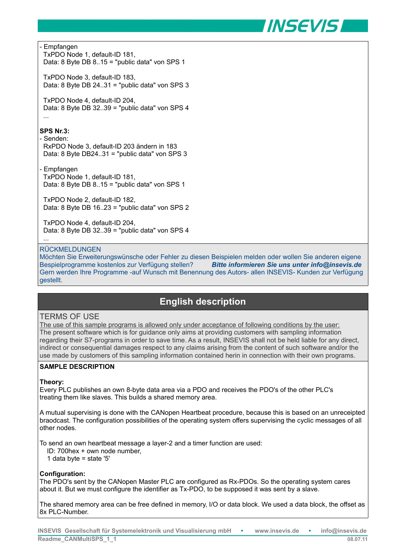

- Empfangen

 TxPDO Node 1, default-ID 181, Data: 8 Byte DB 8..15 = "public data" von SPS 1

 TxPDO Node 3, default-ID 183, Data: 8 Byte DB 24..31 = "public data" von SPS 3

 TxPDO Node 4, default-ID 204, Data: 8 Byte DB 32..39 = "public data" von SPS 4 ...

# **SPS Nr.3:**

#### - Senden:

 RxPDO Node 3, default-ID 203 ändern in 183 Data: 8 Byte DB24..31 = "public data" von SPS 3

- Empfangen TxPDO Node 1, default-ID 181, Data: 8 Byte DB 8..15 = "public data" von SPS 1

 TxPDO Node 2, default-ID 182, Data: 8 Byte DB 16..23 = "public data" von SPS 2

 TxPDO Node 4, default-ID 204, Data: 8 Byte DB 32..39 = "public data" von SPS 4 ...

### RÜCKMELDUNGEN

Möchten Sie Erweiterungswünsche oder Fehler zu diesen Beispielen melden oder wollen Sie anderen eigene Bespielprogramme kostenlos zur Verfügung stellen? *Bitte informieren Sie uns unter info@insevis.de* Gern werden Ihre Programme -auf Wunsch mit Benennung des Autors- allen INSEVIS- Kunden zur Verfügung gestellt.

# **English description**

# TERMS OF USE

The use of this sample programs is allowed only under acceptance of following conditions by the user: The present software which is for guidance only aims at providing customers with sampling information regarding their S7-programs in order to save time. As a result, INSEVIS shall not be held liable for any direct, indirect or consequential damages respect to any claims arising from the content of such software and/or the use made by customers of this sampling information contained herin in connection with their own programs.

### **SAMPLE DESCRIPTION**

### **Theory:**

Every PLC publishes an own 8-byte data area via a PDO and receives the PDO's of the other PLC's treating them like slaves. This builds a shared memory area.

A mutual supervising is done with the CANopen Heartbeat procedure, because this is based on an unreceipted braodcast. The configuration possibilities of the operating system offers supervising the cyclic messages of all other nodes.

To send an own heartbeat message a layer-2 and a timer function are used:

ID: 700hex + own node number,

1 data byte = state '5'

# **Configuration:**

The PDO's sent by the CANopen Master PLC are configured as Rx-PDOs. So the operating system cares about it. But we must configure the identifier as Tx-PDO, to be supposed it was sent by a slave.

The shared memory area can be free defined in memory, I/O or data block. We used a data block, the offset as 8x PLC-Number.